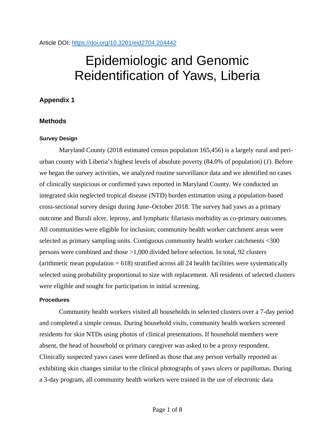# Epidemiologic and Genomic Reidentification of Yaws, Liberia

## **Appendix 1**

## **Methods**

## **Survey Design**

Maryland County (2018 estimated census population 165,456) is a largely rural and periurban county with Liberia's highest levels of absolute poverty (84.0% of population) (*1*). Before we began the survey activities, we analyzed routine surveillance data and we identified no cases of clinically suspicious or confirmed yaws reported in Maryland County. We conducted an integrated skin neglected tropical disease (NTD) burden estimation using a population-based cross-sectional survey design during June–October 2018. The survey had yaws as a primary outcome and Buruli ulcer, leprosy, and lymphatic filariasis morbidity as co-primary outcomes. All communities were eligible for inclusion; community health worker catchment areas were selected as primary sampling units. Contiguous community health worker catchments <300 persons were combined and those >1,000 divided before selection. In total, 92 clusters (arithmetic mean population  $= 618$ ) stratified across all 24 health facilities were systematically selected using probability proportional to size with replacement. All residents of selected clusters were eligible and sought for participation in initial screening.

### **Procedures**

Community health workers visited all households in selected clusters over a 7-day period and completed a simple census. During household visits, community health workers screened residents for skin NTDs using photos of clinical presentations. If household members were absent, the head of household or primary caregiver was asked to be a proxy respondent. Clinically suspected yaws cases were defined as those that any person verbally reported as exhibiting skin changes similar to the clinical photographs of yaws ulcers or papillomas. During a 3-day program, all community health workers were trained in the use of electronic data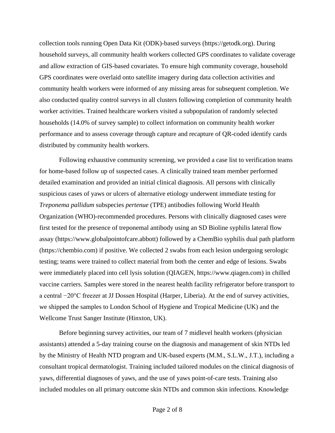collection tools running Open Data Kit (ODK)-based surveys (https://getodk.org). During household surveys, all community health workers collected GPS coordinates to validate coverage and allow extraction of GIS-based covariates. To ensure high community coverage, household GPS coordinates were overlaid onto satellite imagery during data collection activities and community health workers were informed of any missing areas for subsequent completion. We also conducted quality control surveys in all clusters following completion of community health worker activities. Trained healthcare workers visited a subpopulation of randomly selected households (14.0% of survey sample) to collect information on community health worker performance and to assess coverage through capture and recapture of QR-coded identify cards distributed by community health workers.

Following exhaustive community screening, we provided a case list to verification teams for home-based follow up of suspected cases. A clinically trained team member performed detailed examination and provided an initial clinical diagnosis. All persons with clinically suspicious cases of yaws or ulcers of alternative etiology underwent immediate testing for *Treponema pallidum* subspecies *pertenue* (TPE) antibodies following World Health Organization (WHO)-recommended procedures. Persons with clinically diagnosed cases were first tested for the presence of treponemal antibody using an SD Bioline syphilis lateral flow assay (https://www.globalpointofcare.abbott) followed by a ChemBio syphilis dual path platform (https://chembio.com) if positive. We collected 2 swabs from each lesion undergoing serologic testing; teams were trained to collect material from both the center and edge of lesions. Swabs were immediately placed into cell lysis solution (QIAGEN, https://www.qiagen.com) in chilled vaccine carriers. Samples were stored in the nearest health facility refrigerator before transport to a central −20°C freezer at JJ Dossen Hospital (Harper, Liberia). At the end of survey activities, we shipped the samples to London School of Hygiene and Tropical Medicine (UK) and the Wellcome Trust Sanger Institute (Hinxton, UK).

Before beginning survey activities, our team of 7 midlevel health workers (physician assistants) attended a 5-day training course on the diagnosis and management of skin NTDs led by the Ministry of Health NTD program and UK-based experts (M.M., S.L.W., J.T.), including a consultant tropical dermatologist. Training included tailored modules on the clinical diagnosis of yaws, differential diagnoses of yaws, and the use of yaws point-of-care tests. Training also included modules on all primary outcome skin NTDs and common skin infections. Knowledge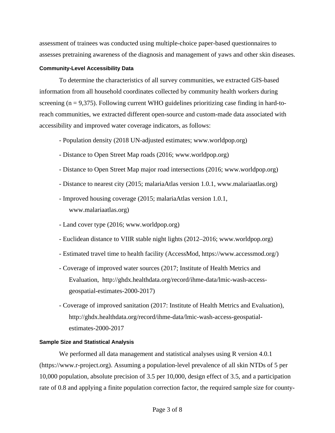assessment of trainees was conducted using multiple-choice paper-based questionnaires to assesses pretraining awareness of the diagnosis and management of yaws and other skin diseases.

## **Community-Level Accessibility Data**

To determine the characteristics of all survey communities, we extracted GIS-based information from all household coordinates collected by community health workers during screening  $(n = 9,375)$ . Following current WHO guidelines prioritizing case finding in hard-toreach communities, we extracted different open-source and custom-made data associated with accessibility and improved water coverage indicators, as follows:

- Population density (2018 UN-adjusted estimates; www.worldpop.org)
- Distance to Open Street Map roads (2016; www.worldpop.org)
- Distance to Open Street Map major road intersections (2016; www.worldpop.org)
- Distance to nearest city (2015; malariaAtlas version 1.0.1, www.malariaatlas.org)
- Improved housing coverage (2015; malariaAtlas version 1.0.1, www.malariaatlas.org)
- Land cover type (2016; www.worldpop.org)
- Euclidean distance to VIIR stable night lights (2012–2016; www.worldpop.org)
- Estimated travel time to health facility (AccessMod, https://www.accessmod.org/)
- Coverage of improved water sources (2017; Institute of Health Metrics and Evaluation, http://ghdx.healthdata.org/record/ihme-data/lmic-wash-accessgeospatial-estimates-2000-2017)
- Coverage of improved sanitation (2017: Institute of Health Metrics and Evaluation), http://ghdx.healthdata.org/record/ihme-data/lmic-wash-access-geospatialestimates-2000-2017

## **Sample Size and Statistical Analysis**

We performed all data management and statistical analyses using R version 4.0.1 (https://www.r-project.org). Assuming a population-level prevalence of all skin NTDs of 5 per 10,000 population, absolute precision of 3.5 per 10,000, design effect of 3.5, and a participation rate of 0.8 and applying a finite population correction factor, the required sample size for county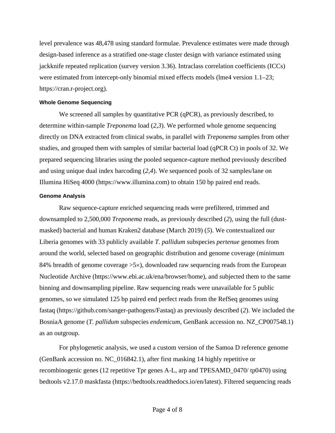level prevalence was 48,478 using standard formulae. Prevalence estimates were made through design-based inference as a stratified one-stage cluster design with variance estimated using jackknife repeated replication (survey version 3.36). Intraclass correlation coefficients (ICCs) were estimated from intercept-only binomial mixed effects models (lme4 version 1.1–23; https://cran.r-project.org).

## **Whole Genome Sequencing**

We screened all samples by quantitative PCR (qPCR), as previously described, to determine within-sample *Treponema* load (*2*,*3*). We performed whole genome sequencing directly on DNA extracted from clinical swabs, in parallel with *Treponema* samples from other studies, and grouped them with samples of similar bacterial load (qPCR Ct) in pools of 32. We prepared sequencing libraries using the pooled sequence-capture method previously described and using unique dual index barcoding (*2*,*4*). We sequenced pools of 32 samples/lane on Illumina HiSeq 4000 (https://www.illumina.com) to obtain 150 bp paired end reads.

### **Genome Analysis**

Raw sequence-capture enriched sequencing reads were prefiltered, trimmed and downsampled to 2,500,000 *Treponema* reads, as previously described (*2*), using the full (dustmasked) bacterial and human Kraken2 database (March 2019) (*5*). We contextualized our Liberia genomes with 33 publicly available *T. pallidum* subspecies *pertenue* genomes from around the world, selected based on geographic distribution and genome coverage (minimum 84% breadth of genome coverage >5×), downloaded raw sequencing reads from the European Nucleotide Archive (https://www.ebi.ac.uk/ena/browser/home), and subjected them to the same binning and downsampling pipeline. Raw sequencing reads were unavailable for 5 public genomes, so we simulated 125 bp paired end perfect reads from the RefSeq genomes using fastaq (https://github.com/sanger-pathogens/Fastaq) as previously described (*2*). We included the BosniaA genome (*T. pallidum* subspecies *endemicum*, GenBank accession no. NZ\_CP007548.1) as an outgroup.

For phylogenetic analysis, we used a custom version of the Samoa D reference genome (GenBank accession no. NC\_016842.1), after first masking 14 highly repetitive or recombinogenic genes (12 repetitive Tpr genes A-L, arp and TPESAMD\_0470/ tp0470) using bedtools v2.17.0 maskfasta (https://bedtools.readthedocs.io/en/latest). Filtered sequencing reads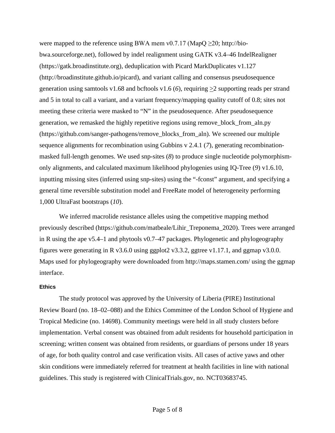were mapped to the reference using BWA mem v0.7.17 (MapQ  $\geq$ 20; http://biobwa.sourceforge.net), followed by indel realignment using GATK v3.4–46 IndelRealigner (https://gatk.broadinstitute.org), deduplication with Picard MarkDuplicates v1.127 (http://broadinstitute.github.io/picard), and variant calling and consensus pseudosequence generation using samtools v1.68 and bcftools v1.6 (*6*), requiring >2 supporting reads per strand and 5 in total to call a variant, and a variant frequency/mapping quality cutoff of 0.8; sites not meeting these criteria were masked to "N" in the pseudosequence. After pseudosequence generation, we remasked the highly repetitive regions using remove\_block\_from\_aln.py (https://github.com/sanger-pathogens/remove\_blocks\_from\_aln). We screened our multiple sequence alignments for recombination using Gubbins v 2.4.1 (*7*), generating recombinationmasked full-length genomes. We used snp-sites (*8*) to produce single nucleotide polymorphismonly alignments, and calculated maximum likelihood phylogenies using IQ-Tree (*9*) v1.6.10, inputting missing sites (inferred using snp-sites) using the "-fconst" argument, and specifying a general time reversible substitution model and FreeRate model of heterogeneity performing 1,000 UltraFast bootstraps (*10*).

We inferred macrolide resistance alleles using the competitive mapping method previously described (https://github.com/matbeale/Lihir\_Treponema\_2020). Trees were arranged in R using the ape v5.4–1 and phytools v0.7–47 packages. Phylogenetic and phylogeography figures were generating in R v3.6.0 using ggplot  $2 \nu 3.3.2$ , ggtree v1.17.1, and ggmap v3.0.0. Maps used for phylogeography were downloaded from http://maps.stamen.com/ using the ggmap interface.

### **Ethics**

The study protocol was approved by the University of Liberia (PIRE) Institutional Review Board (no. 18–02–088) and the Ethics Committee of the London School of Hygiene and Tropical Medicine (no. 14698). Community meetings were held in all study clusters before implementation. Verbal consent was obtained from adult residents for household participation in screening; written consent was obtained from residents, or guardians of persons under 18 years of age, for both quality control and case verification visits. All cases of active yaws and other skin conditions were immediately referred for treatment at health facilities in line with national guidelines. This study is registered with ClinicalTrials.gov, no. NCT03683745.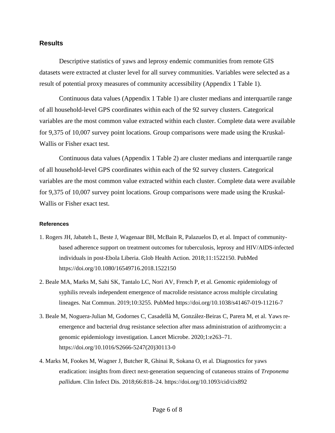## **Results**

Descriptive statistics of yaws and leprosy endemic communities from remote GIS datasets were extracted at cluster level for all survey communities. Variables were selected as a result of potential proxy measures of community accessibility (Appendix 1 Table 1).

Continuous data values (Appendix 1 Table 1) are cluster medians and interquartile range of all household-level GPS coordinates within each of the 92 survey clusters. Categorical variables are the most common value extracted within each cluster. Complete data were available for 9,375 of 10,007 survey point locations. Group comparisons were made using the Kruskal-Wallis or Fisher exact test.

Continuous data values (Appendix 1 Table 2) are cluster medians and interquartile range of all household-level GPS coordinates within each of the 92 survey clusters. Categorical variables are the most common value extracted within each cluster. Complete data were available for 9,375 of 10,007 survey point locations. Group comparisons were made using the Kruskal-Wallis or Fisher exact test.

#### **References**

- 1. Rogers JH, Jabateh L, Beste J, Wagenaar BH, McBain R, Palazuelos D, et al. Impact of communitybased adherence support on treatment outcomes for tuberculosis, leprosy and HIV/AIDS-infected individuals in post-Ebola Liberia. Glob Health Action. 2018;11:1522150. [PubMed](https://www.ncbi.nlm.nih.gov/entrez/query.fcgi?cmd=Retrieve&db=PubMed&list_uids=30270812&dopt=Abstract) <https://doi.org/10.1080/16549716.2018.1522150>
- 2. Beale MA, Marks M, Sahi SK, Tantalo LC, Nori AV, French P, et al. Genomic epidemiology of syphilis reveals independent emergence of macrolide resistance across multiple circulating lineages. Nat Commun. 2019;10:3255. [PubMed](https://www.ncbi.nlm.nih.gov/entrez/query.fcgi?cmd=Retrieve&db=PubMed&list_uids=31332179&dopt=Abstract) <https://doi.org/10.1038/s41467-019-11216-7>
- 3. Beale M, Noguera-Julian M, Godornes C, Casadellà M, González-Beiras C, Parera M, et al. Yaws reemergence and bacterial drug resistance selection after mass administration of azithromycin: a genomic epidemiology investigation. Lancet Microbe. 2020;1:e263–71. [https://doi.org/10.1016/S2666-5247\(20\)30113-0](https://doi.org/10.1016/S2666-5247(20)30113-0)
- 4. Marks M, Fookes M, Wagner J, Butcher R, Ghinai R, Sokana O, et al*.* Diagnostics for yaws eradication: insights from direct next-generation sequencing of cutaneous strains of *Treponema pallidum*. Clin Infect Dis. 2018;66:818–24. https://doi.org/10.1093/cid/cix892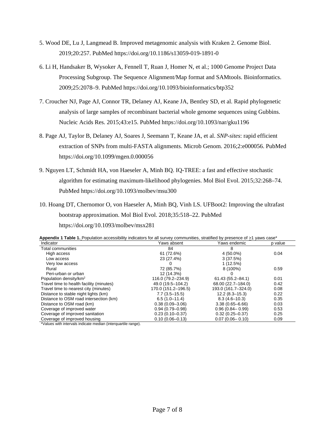- 5. Wood DE, Lu J, Langmead B. Improved metagenomic analysis with Kraken 2. Genome Biol. 2019;20:257. [PubMed](https://www.ncbi.nlm.nih.gov/entrez/query.fcgi?cmd=Retrieve&db=PubMed&list_uids=31779668&dopt=Abstract) <https://doi.org/10.1186/s13059-019-1891-0>
- 6. Li H, Handsaker B, Wysoker A, Fennell T, Ruan J, Homer N, et al.; 1000 Genome Project Data Processing Subgroup. The Sequence Alignment/Map format and SAMtools. Bioinformatics. 2009;25:2078–9. [PubMed](https://www.ncbi.nlm.nih.gov/entrez/query.fcgi?cmd=Retrieve&db=PubMed&list_uids=19505943&dopt=Abstract) <https://doi.org/10.1093/bioinformatics/btp352>
- 7. Croucher NJ, Page AJ, Connor TR, Delaney AJ, Keane JA, Bentley SD, et al. Rapid phylogenetic analysis of large samples of recombinant bacterial whole genome sequences using Gubbins. Nucleic Acids Res. 2015;43:e15. [PubMed](https://www.ncbi.nlm.nih.gov/entrez/query.fcgi?cmd=Retrieve&db=PubMed&list_uids=25414349&dopt=Abstract) <https://doi.org/10.1093/nar/gku1196>
- 8. Page AJ, Taylor B, Delaney AJ, Soares J, Seemann T, Keane JA, et al. *SNP-sites*: rapid efficient extraction of SNPs from multi-FASTA alignments. Microb Genom. 2016;2:e000056. [PubMed](https://www.ncbi.nlm.nih.gov/entrez/query.fcgi?cmd=Retrieve&db=PubMed&list_uids=28348851&dopt=Abstract) <https://doi.org/10.1099/mgen.0.000056>
- 9. Nguyen LT, Schmidt HA, von Haeseler A, Minh BQ. IQ-TREE: a fast and effective stochastic algorithm for estimating maximum-likelihood phylogenies. Mol Biol Evol. 2015;32:268–74[.](https://www.ncbi.nlm.nih.gov/entrez/query.fcgi?cmd=Retrieve&db=PubMed&list_uids=25371430&dopt=Abstract) [PubMed](https://www.ncbi.nlm.nih.gov/entrez/query.fcgi?cmd=Retrieve&db=PubMed&list_uids=25371430&dopt=Abstract) <https://doi.org/10.1093/molbev/msu300>
- 10. Hoang DT, Chernomor O, von Haeseler A, Minh BQ, Vinh LS. UFBoot2: Improving the ultrafast bootstrap approximation. Mol Biol Evol. 2018;35:518–22. [PubMed](https://www.ncbi.nlm.nih.gov/entrez/query.fcgi?cmd=Retrieve&db=PubMed&list_uids=29077904&dopt=Abstract) <https://doi.org/10.1093/molbev/msx281>

|  |  |  |  |  |  |  |  | Appendix 1 Table 1. Population accessibility indicators for all survey communities, stratified by presence of >1 yaws case* |  |
|--|--|--|--|--|--|--|--|-----------------------------------------------------------------------------------------------------------------------------|--|
|--|--|--|--|--|--|--|--|-----------------------------------------------------------------------------------------------------------------------------|--|

| Indicator                                | Yaws absent         | Yaws endemic         | p value |
|------------------------------------------|---------------------|----------------------|---------|
| <b>Total communities</b>                 | 84                  | 8                    |         |
| High access                              | 61 (72.6%)          | 4 (50.0%)            | 0.04    |
| Low access                               | 23 (27.4%)          | 3(37.5%)             |         |
| Very low access                          | 0                   | 1(12.5%)             |         |
| Rural                                    | 72 (85.7%)          | 8 (100%)             | 0.59    |
| Peri-urban or urban                      | 12 (14.3%)          |                      |         |
| Population density/km <sup>2</sup>       | 116.0 (79.2-234.9)  | $61.43(55.2 - 84.1)$ | 0.01    |
| Travel time to health facility (minutes) | 49.0 (19.5-104.2)   | 68.00 (22.7-184.0)   | 0.42    |
| Travel time to nearest city (minutes)    | 170.0 (151.2-196.5) | 193.0 (161.7-324.0)  | 0.08    |
| Distance to stable night lights (km)     | $7.7(3.5 - 15.5)$   | $12.2(8.3 - 15.3)$   | 0.22    |
| Distance to OSM road intersection (km)   | $6.5(1.0-11.4)$     | $8.3(4.6 - 10.3)$    | 0.35    |
| Distance to OSM road (km)                | $0.38(0.09 - 3.06)$ | $3.38(0.65 - 6.66)$  | 0.03    |
| Coverage of improved water               | $0.94(0.79 - 0.98)$ | $0.96(0.84 - 0.99)$  | 0.53    |
| Coverage of improved sanitation          | $0.23(0.10 - 0.37)$ | $0.32(0.25 - 0.37)$  | 0.25    |
| Coverage of improved housing             | $0.10(0.06 - 0.13)$ | $0.07(0.06 - 0.10)$  | 0.09    |

\*Values with intervals indicate median (interquartile range).